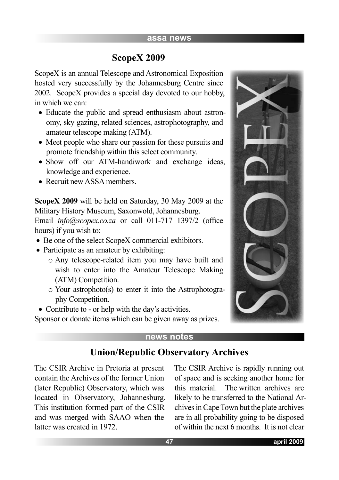## **ScopeX 2009**

ScopeX is an annual Telescope and Astronomical Exposition hosted very successfully by the Johannesburg Centre since 2002. ScopeX provides a special day devoted to our hobby, in which we can:

- Educate the public and spread enthusiasm about astronomy, sky gazing, related sciences, astrophotography, and amateur telescope making (ATM).
- Meet people who share our passion for these pursuits and promote friendship within this select community.
- Show off our ATM-handiwork and exchange ideas, knowledge and experience.
- Recruit new ASSA members.

**ScopeX 2009** will be held on Saturday, 30 May 2009 at the Military History Museum, Saxonwold, Johannesburg.

Email *info@scopex.co.za* or call 011-717 1397/2 (office hours) if you wish to:

- Be one of the select ScopeX commercial exhibitors.
- Participate as an amateur by exhibiting:
	- o Any telescope-related item you may have built and wish to enter into the Amateur Telescope Making (ATM) Competition.
	- o Your astrophoto(s) to enter it into the Astrophotography Competition.

• Contribute to - or help with the day's activities.

Sponsor or donate items which can be given away as prizes.

#### **news notes**

# **Union/Republic Observatory Archives**

The CSIR Archive in Pretoria at present contain the Archives of the former Union (later Republic) Observatory, which was located in Observatory, Johannesburg. This institution formed part of the CSIR and was merged with SAAO when the latter was created in 1972.

The CSIR Archive is rapidly running out of space and is seeking another home for this material. The written archives are likely to be transferred to the National Archives in Cape Town but the plate archives are in all probability going to be disposed of within the next 6 months. It is not clear

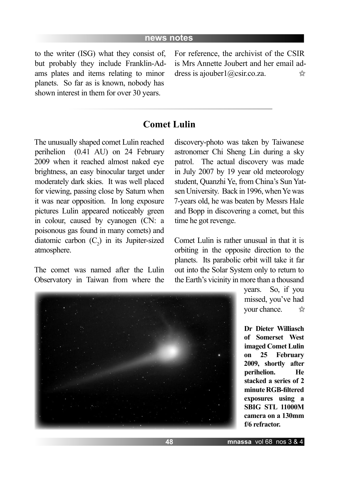to the writer (ISG) what they consist of, but probably they include Franklin-Adams plates and items relating to minor planets. So far as is known, nobody has shown interest in them for over 30 years.

For reference, the archivist of the CSIR is Mrs Annette Joubert and her email address is ajouber1@csir.co.za.  $5 - 7$ 

## **Comet Lulin**

The unusually shaped comet Lulin reached perihelion (0.41 AU) on 24 February 2009 when it reached almost naked eye brightness, an easy binocular target under moderately dark skies. It was well placed for viewing, passing close by Saturn when it was near opposition. In long exposure pictures Lulin appeared noticeably green in colour, caused by cyanogen (CN: a poisonous gas found in many comets) and diatomic carbon  $(C_2)$  in its Jupiter-sized atmosphere.

The comet was named after the Lulin Observatory in Taiwan from where the

discovery-photo was taken by Taiwanese astronomer Chi Sheng Lin during a sky patrol. The actual discovery was made in July 2007 by 19 year old meteorology student, Quanzhi Ye, from China's Sun Yatsen University. Back in 1996, when Ye was 7-years old, he was beaten by Messrs Hale and Bopp in discovering a comet, but this time he got revenge.

Comet Lulin is rather unusual in that it is orbiting in the opposite direction to the planets. Its parabolic orbit will take it far out into the Solar System only to return to the Earth's vicinity in more than a thousand

> years. So, if you missed, you've had your chance.  $5.7$

> **Dr Dieter Williasch of Somerset West imaged Comet Lulin on 25 February 2009, shortly after perihelion. He stacked a series of 2 minute RGB-filtered exposures using a SBIG STL 11000M camera on a 130mm f/6 refractor.**

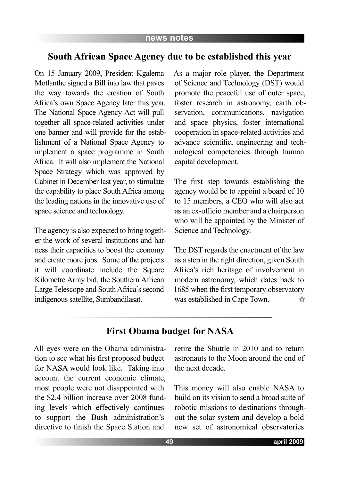#### **South African Space Agency due to be established this year**

On 15 January 2009, President Kgalema Motlanthe signed a Bill into law that paves the way towards the creation of South Africa's own Space Agency later this year. The National Space Agency Act will pull together all space-related activities under one banner and will provide for the establishment of a National Space Agency to implement a space programme in South Africa. It will also implement the National Space Strategy which was approved by Cabinet in December last year, to stimulate the capability to place South Africa among the leading nations in the innovative use of space science and technology.

The agency is also expected to bring together the work of several institutions and harness their capacities to boost the economy and create more jobs. Some of the projects it will coordinate include the Square Kilometre Array bid, the Southern African Large Telescope and South Africa's second indigenous satellite, Sumbandilasat.

As a major role player, the Department of Science and Technology (DST) would promote the peaceful use of outer space, foster research in astronomy, earth observation, communications, navigation and space physics, foster international cooperation in space-related activities and advance scientific, engineering and technological competencies through human capital development.

The first step towards establishing the agency would be to appoint a board of 10 to 15 members, a CEO who will also act as an ex-officio member and a chairperson who will be appointed by the Minister of Science and Technology.

The DST regards the enactment of the law as a step in the right direction, given South Africa's rich heritage of involvement in modern astronomy, which dates back to 1685 when the first temporary observatory was established in Cape Town.  $\frac{1}{2}$ 

# **First Obama budget for NASA**

All eyes were on the Obama administration to see what his first proposed budget for NASA would look like. Taking into account the current economic climate, most people were not disappointed with the \$2.4 billion increase over 2008 funding levels which effectively continues to support the Bush administration's directive to finish the Space Station and

retire the Shuttle in 2010 and to return astronauts to the Moon around the end of the next decade.

This money will also enable NASA to build on its vision to send a broad suite of robotic missions to destinations throughout the solar system and develop a bold new set of astronomical observatories